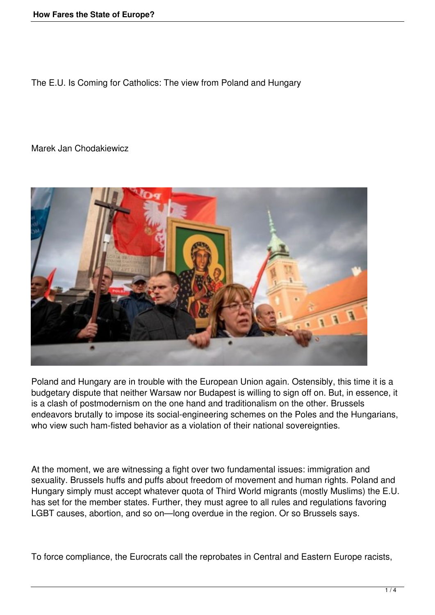The E.U. Is Coming for Catholics: The view from Poland and Hungary

## Marek Jan Chodakiewicz



Poland and Hungary are in trouble with the European Union again. Ostensibly, this time it is a budgetary dispute that neither Warsaw nor Budapest is willing to sign off on. But, in essence, it is a clash of postmodernism on the one hand and traditionalism on the other. Brussels endeavors brutally to impose its social-engineering schemes on the Poles and the Hungarians, who view such ham-fisted behavior as a violation of their national sovereignties.

At the moment, we are witnessing a fight over two fundamental issues: immigration and sexuality. Brussels huffs and puffs about freedom of movement and human rights. Poland and Hungary simply must accept whatever quota of Third World migrants (mostly Muslims) the E.U. has set for the member states. Further, they must agree to all rules and regulations favoring LGBT causes, abortion, and so on—long overdue in the region. Or so Brussels says.

To force compliance, the Eurocrats call the reprobates in Central and Eastern Europe racists,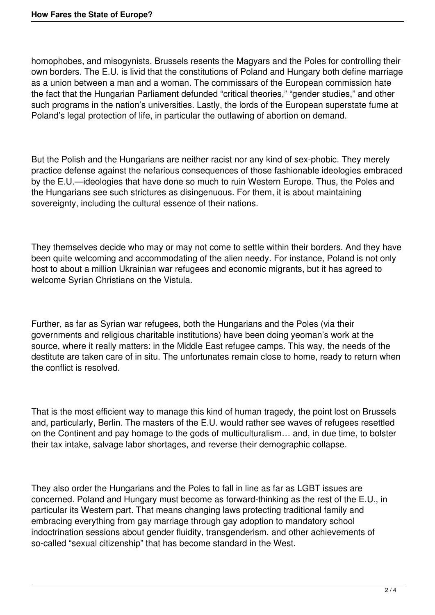homophobes, and misogynists. Brussels resents the Magyars and the Poles for controlling their own borders. The E.U. is livid that the constitutions of Poland and Hungary both define marriage as a union between a man and a woman. The commissars of the European commission hate the fact that the Hungarian Parliament defunded "critical theories," "gender studies," and other such programs in the nation's universities. Lastly, the lords of the European superstate fume at Poland's legal protection of life, in particular the outlawing of abortion on demand.

But the Polish and the Hungarians are neither racist nor any kind of sex-phobic. They merely practice defense against the nefarious consequences of those fashionable ideologies embraced by the E.U.—ideologies that have done so much to ruin Western Europe. Thus, the Poles and the Hungarians see such strictures as disingenuous. For them, it is about maintaining sovereignty, including the cultural essence of their nations.

They themselves decide who may or may not come to settle within their borders. And they have been quite welcoming and accommodating of the alien needy. For instance, Poland is not only host to about a million Ukrainian war refugees and economic migrants, but it has agreed to welcome Syrian Christians on the Vistula.

Further, as far as Syrian war refugees, both the Hungarians and the Poles (via their governments and religious charitable institutions) have been doing yeoman's work at the source, where it really matters: in the Middle East refugee camps. This way, the needs of the destitute are taken care of in situ. The unfortunates remain close to home, ready to return when the conflict is resolved.

That is the most efficient way to manage this kind of human tragedy, the point lost on Brussels and, particularly, Berlin. The masters of the E.U. would rather see waves of refugees resettled on the Continent and pay homage to the gods of multiculturalism… and, in due time, to bolster their tax intake, salvage labor shortages, and reverse their demographic collapse.

They also order the Hungarians and the Poles to fall in line as far as LGBT issues are concerned. Poland and Hungary must become as forward-thinking as the rest of the E.U., in particular its Western part. That means changing laws protecting traditional family and embracing everything from gay marriage through gay adoption to mandatory school indoctrination sessions about gender fluidity, transgenderism, and other achievements of so-called "sexual citizenship" that has become standard in the West.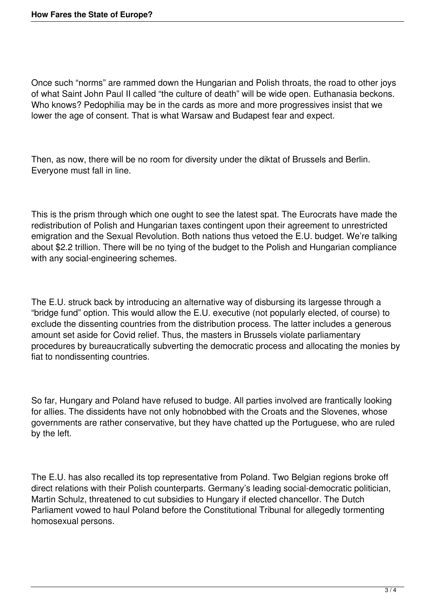Once such "norms" are rammed down the Hungarian and Polish throats, the road to other joys of what Saint John Paul II called "the culture of death" will be wide open. Euthanasia beckons. Who knows? Pedophilia may be in the cards as more and more progressives insist that we lower the age of consent. That is what Warsaw and Budapest fear and expect.

Then, as now, there will be no room for diversity under the diktat of Brussels and Berlin. Everyone must fall in line.

This is the prism through which one ought to see the latest spat. The Eurocrats have made the redistribution of Polish and Hungarian taxes contingent upon their agreement to unrestricted emigration and the Sexual Revolution. Both nations thus vetoed the E.U. budget. We're talking about \$2.2 trillion. There will be no tying of the budget to the Polish and Hungarian compliance with any social-engineering schemes.

The E.U. struck back by introducing an alternative way of disbursing its largesse through a "bridge fund" option. This would allow the E.U. executive (not popularly elected, of course) to exclude the dissenting countries from the distribution process. The latter includes a generous amount set aside for Covid relief. Thus, the masters in Brussels violate parliamentary procedures by bureaucratically subverting the democratic process and allocating the monies by fiat to nondissenting countries.

So far, Hungary and Poland have refused to budge. All parties involved are frantically looking for allies. The dissidents have not only hobnobbed with the Croats and the Slovenes, whose governments are rather conservative, but they have chatted up the Portuguese, who are ruled by the left.

The E.U. has also recalled its top representative from Poland. Two Belgian regions broke off direct relations with their Polish counterparts. Germany's leading social-democratic politician, Martin Schulz, threatened to cut subsidies to Hungary if elected chancellor. The Dutch Parliament vowed to haul Poland before the Constitutional Tribunal for allegedly tormenting homosexual persons.